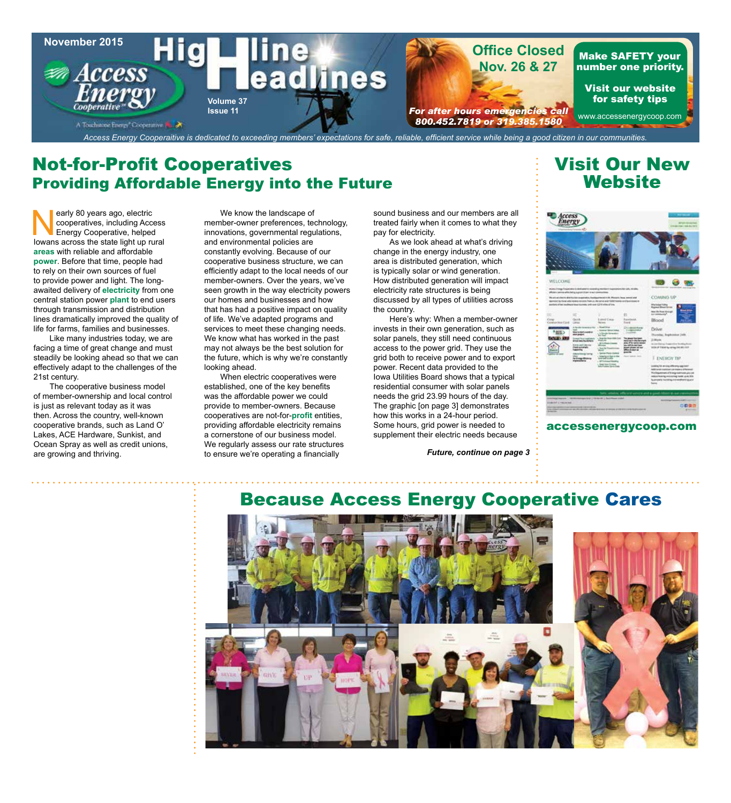

## Not-for-Profit Cooperatives Providing Affordable Energy into the Future

early 80 years ago, electric<br>
cooperatives, including Access<br>
Iowans across the state light up rural cooperatives, including Access Energy Cooperative, helped **areas** with reliable and affordable **power**. Before that time, people had to rely on their own sources of fuel to provide power and light. The longawaited delivery of **electricity** from one central station power **plant** to end users through transmission and distribution lines dramatically improved the quality of life for farms, families and businesses.

Like many industries today, we are facing a time of great change and must steadily be looking ahead so that we can effectively adapt to the challenges of the 21st century.

The cooperative business model of member-ownership and local control is just as relevant today as it was then. Across the country, well-known cooperative brands, such as Land O' Lakes, ACE Hardware, Sunkist, and Ocean Spray as well as credit unions, are growing and thriving.

We know the landscape of member-owner preferences, technology, innovations, governmental regulations, and environmental policies are constantly evolving. Because of our cooperative business structure, we can efficiently adapt to the local needs of our member-owners. Over the years, we've seen growth in the way electricity powers our homes and businesses and how that has had a positive impact on quality of life. We've adapted programs and services to meet these changing needs. We know what has worked in the past may not always be the best solution for the future, which is why we're constantly looking ahead.

When electric cooperatives were established, one of the key benefits was the affordable power we could provide to member-owners. Because cooperatives are not-for-**profit** entities, providing affordable electricity remains a cornerstone of our business model. We regularly assess our rate structures to ensure we're operating a financially

sound business and our members are all treated fairly when it comes to what they pay for electricity.

As we look ahead at what's driving change in the energy industry, one area is distributed generation, which is typically solar or wind generation. How distributed generation will impact electricity rate structures is being discussed by all types of utilities across the country.

Here's why: When a member-owner invests in their own generation, such as solar panels, they still need continuous access to the power grid. They use the grid both to receive power and to export power. Recent data provided to the Iowa Utilities Board shows that a typical residential consumer with solar panels needs the grid 23.99 hours of the day. The graphic [on page 3] demonstrates how this works in a 24-hour period. Some hours, grid power is needed to supplement their electric needs because

*Future, continue on page 3*

## Visit Our New **Website**



accessenergycoop.com

## Because Access Energy Cooperative Cares

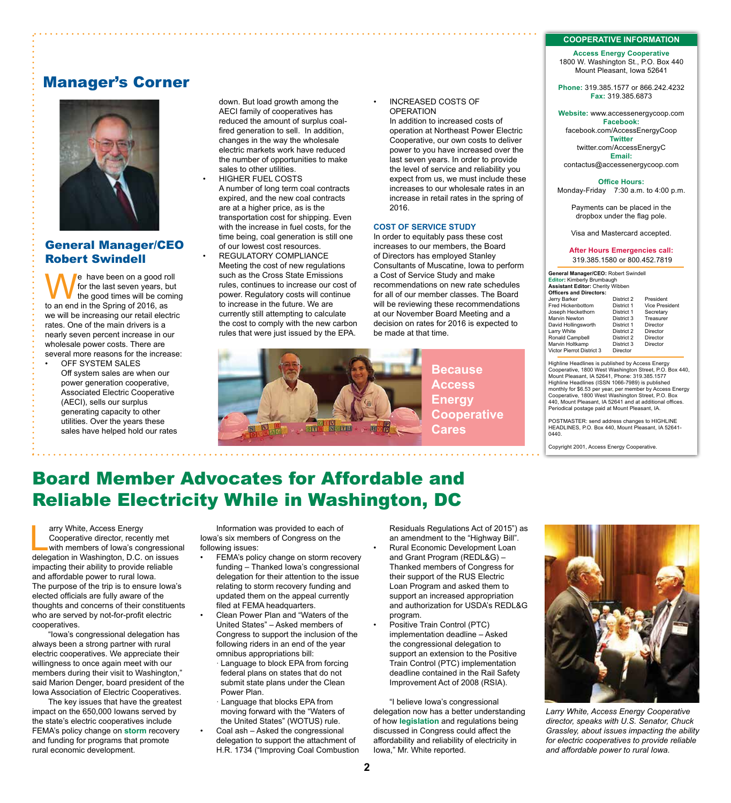#### **COOPERATIVE INFORMATION**

**Access Energy Cooperative** 1800 W. Washington St., P.O. Box 440 Mount Pleasant, Iowa 52641

**Phone:** 319.385.1577 or 866.242.4232 **Fax:** 319.385.6873

**Website:** www.accessenergycoop.com **Facebook:** facebook.com/AccessEnergyCoop **Twitter** twitter.com/AccessEnergyC **Email:** contactus@accessenergycoop.com

**Office Hours:** Monday-Friday7:30 a.m. to 4:00 p.m.

Payments can be placed in the dropbox under the flag pole.

Visa and Mastercard accepted.

#### **After Hours Emergencies call:** 319.385.1580 or 800.452.7819

**General Manager/CEO:** Robert Swindell **Editor:** Kimberly Brumbaugh **Assistant Editor:** Cherity Wibben **Officers and Directors:** Jerry Barker District 2 President Fred Hickenbottom District 1 Vice President Joseph Heckethorn District 1 Secretary Marvin Newton District 3<br>David Hollingsworth District 1 David Hollingsworth District 1 Director Larry White **District 2** Director<br>
Ronald Campbell **District 2** Director Langment Chemistre Chemistre<br>Ronald Campbell District 2 Director<br>Marvin Holtkamp District 3 Director Marvin Holtkamp District 3 Director Victor Pierrot District 3 Director

Highline Headlines is published by Access Energy Cooperative, 1800 West Washington Street, P.O. Box 440, Mount Pleasant, IA 52641, Phone: 319.385.1577 Highline Headlines (ISSN 1066-7989) is published monthly for \$6.53 per year, per member by Access Energy Cooperative, 1800 West Washington Street, P.O. Box 440, Mount Pleasant, IA 52641 and at additional offices. Periodical postage paid at Mount Pleasant, IA.

POSTMASTER: send address changes to HIGHLINE HEADLINES, P.O. Box 440, Mount Pleasant, IA 52641- 0440.

Copyright 2001, Access Energy Cooperative.

### Manager's Corner



### General Manager/CEO Robert Swindell

we have been on a good roll<br>for the last seven years, but<br>the good times will be coming<br>to an end in the Spring of 2016 as for the last seven years, but the good times will be coming to an end in the Spring of 2016, as we will be increasing our retail electric rates. One of the main drivers is a nearly seven percent increase in our wholesale power costs. There are several more reasons for the increase:

OFF SYSTEM SALES Off system sales are when our power generation cooperative, Associated Electric Cooperative (AECI), sells our surplus generating capacity to other utilities. Over the years these sales have helped hold our rates

down. But load growth among the AECI family of cooperatives has reduced the amount of surplus coalfired generation to sell. In addition, changes in the way the wholesale electric markets work have reduced the number of opportunities to make sales to other utilities.

• HIGHER FUEL COSTS A number of long term coal contracts expired, and the new coal contracts are at a higher price, as is the transportation cost for shipping. Even with the increase in fuel costs, for the time being, coal generation is still one of our lowest cost resources.

REGULATORY COMPLIANCE Meeting the cost of new regulations such as the Cross State Emissions rules, continues to increase our cost of power. Regulatory costs will continue to increase in the future. We are currently still attempting to calculate the cost to comply with the new carbon rules that were just issued by the EPA.



**Because Access Energy Cooperative Cares**

## Board Member Advocates for Affordable and Reliable Electricity While in Washington, DC

arry White, Access Energy<br>
Cooperative director, recently met<br>
with members of Iowa's congressional<br>
delegation in Washington D.C. on issues Cooperative director, recently met delegation in Washington, D.C. on issues impacting their ability to provide reliable and affordable power to rural Iowa. The purpose of the trip is to ensure Iowa's elected officials are fully aware of the thoughts and concerns of their constituents who are served by not-for-profit electric cooperatives.

"Iowa's congressional delegation has always been a strong partner with rural electric cooperatives. We appreciate their willingness to once again meet with our members during their visit to Washington," said Marion Denger, board president of the Iowa Association of Electric Cooperatives.

The key issues that have the greatest impact on the 650,000 Iowans served by the state's electric cooperatives include FEMA's policy change on **storm** recovery and funding for programs that promote rural economic development.

Information was provided to each of Iowa's six members of Congress on the following issues:

FEMA's policy change on storm recovery funding – Thanked Iowa's congressional delegation for their attention to the issue relating to storm recovery funding and updated them on the appeal currently filed at FEMA headquarters.

• Clean Power Plan and "Waters of the United States" – Asked members of Congress to support the inclusion of the following riders in an end of the year omnibus appropriations bill:

· Language to block EPA from forcing federal plans on states that do not submit state plans under the Clean Power Plan.

· Language that blocks EPA from moving forward with the "Waters of the United States" (WOTUS) rule. • Coal ash – Asked the congressional

> delegation to support the attachment of H.R. 1734 ("Improving Coal Combustion

Residuals Regulations Act of 2015") as an amendment to the "Highway Bill". • Rural Economic Development Loan and Grant Program (REDL&G) – Thanked members of Congress for their support of the RUS Electric Loan Program and asked them to support an increased appropriation and authorization for USDA's REDL&G program.

Positive Train Control (PTC) implementation deadline – Asked the congressional delegation to support an extension to the Positive Train Control (PTC) implementation deadline contained in the Rail Safety Improvement Act of 2008 (RSIA).

"I believe Iowa's congressional delegation now has a better understanding of how **legislation** and regulations being discussed in Congress could affect the affordability and reliability of electricity in Iowa," Mr. White reported.



*Larry White, Access Energy Cooperative director, speaks with U.S. Senator, Chuck Grassley, about issues impacting the ability for electric cooperatives to provide reliable and affordable power to rural Iowa.*

### • INCREASED COSTS OF

OPERATION In addition to increased costs of operation at Northeast Power Electric Cooperative, our own costs to deliver power to you have increased over the last seven years. In order to provide the level of service and reliability you expect from us, we must include these increases to our wholesale rates in an increase in retail rates in the spring of 2016.

#### **COST OF SERVICE STUDY**

In order to equitably pass these cost increases to our members, the Board of Directors has employed Stanley Consultants of Muscatine, Iowa to perform a Cost of Service Study and make recommendations on new rate schedules for all of our member classes. The Board will be reviewing these recommendations at our November Board Meeting and a decision on rates for 2016 is expected to be made at that time.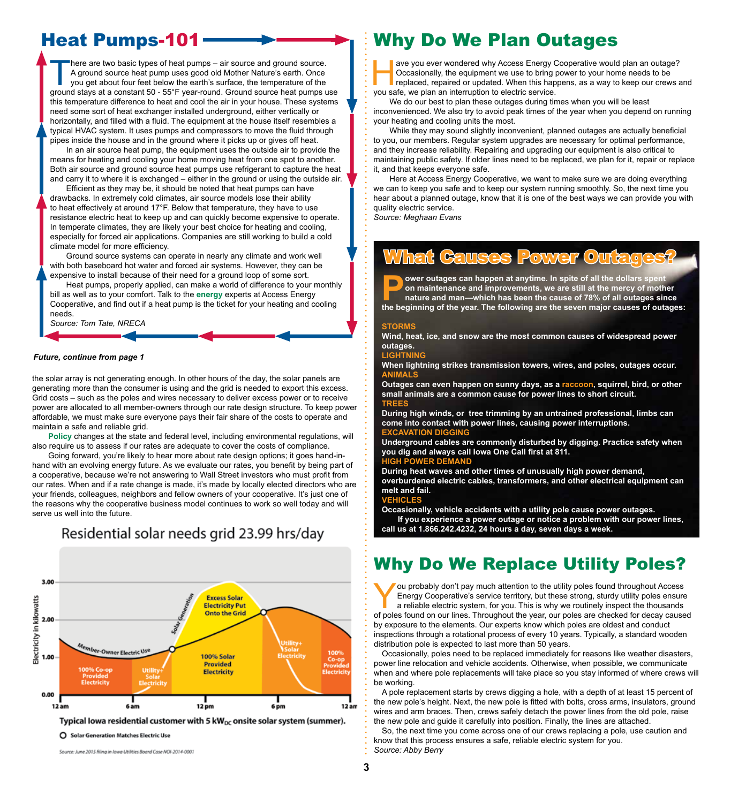## Heat Pumps-101

There are two basic types of heat pumps – air source and ground source. A ground source heat pump uses good old Mother Nature's earth. Once you get about four feet below the earth's surface, the temperature of the ground stays at a constant 50 - 55°F year-round. Ground source heat pumps use this temperature difference to heat and cool the air in your house. These systems need some sort of heat exchanger installed underground, either vertically or horizontally, and filled with a fluid. The equipment at the house itself resembles a typical HVAC system. It uses pumps and compressors to move the fluid through pipes inside the house and in the ground where it picks up or gives off heat.

In an air source heat pump, the equipment uses the outside air to provide the means for heating and cooling your home moving heat from one spot to another. Both air source and ground source heat pumps use refrigerant to capture the heat and carry it to where it is exchanged – either in the ground or using the outside air.

Efficient as they may be, it should be noted that heat pumps can have drawbacks. In extremely cold climates, air source models lose their ability to heat effectively at around 17°F. Below that temperature, they have to use resistance electric heat to keep up and can quickly become expensive to operate. In temperate climates, they are likely your best choice for heating and cooling, especially for forced air applications. Companies are still working to build a cold climate model for more efficiency.

Ground source systems can operate in nearly any climate and work well with both baseboard hot water and forced air systems. However, they can be expensive to install because of their need for a ground loop of some sort.

Heat pumps, properly applied, can make a world of difference to your monthly bill as well as to your comfort. Talk to the **energy** experts at Access Energy Cooperative, and find out if a heat pump is the ticket for your heating and cooling needs.

*Source: Tom Tate, NRECA*

#### *Future, continue from page 1*

the solar array is not generating enough. In other hours of the day, the solar panels are generating more than the consumer is using and the grid is needed to export this excess. Grid costs – such as the poles and wires necessary to deliver excess power or to receive power are allocated to all member-owners through our rate design structure. To keep power affordable, we must make sure everyone pays their fair share of the costs to operate and maintain a safe and reliable grid.

**Policy** changes at the state and federal level, including environmental regulations, will also require us to assess if our rates are adequate to cover the costs of compliance.

Going forward, you're likely to hear more about rate design options; it goes hand-inhand with an evolving energy future. As we evaluate our rates, you benefit by being part of a cooperative, because we're not answering to Wall Street investors who must profit from our rates. When and if a rate change is made, it's made by locally elected directors who are your friends, colleagues, neighbors and fellow owners of your cooperative. It's just one of the reasons why the cooperative business model continues to work so well today and will serve us well into the future.



Residential solar needs grid 23.99 hrs/day

Typical lowa residential customer with 5  $kW_{DC}$  onsite solar system (summer).

○ Solar Generation Matches Electric Use

Source: June 2015 filing in Iowa Utilities Board Case NOI-2014-0001

## Why Do We Plan Outages

ave you ever wondered why Access Energy Cooperative would plan an outage?<br>
Cocasionally, the equipment we use to bring power to your home needs to be<br>
replaced, repaired or updated. When this happens, as a way to keep our Occasionally, the equipment we use to bring power to your home needs to be you safe, we plan an interruption to electric service.

We do our best to plan these outages during times when you will be least inconvenienced. We also try to avoid peak times of the year when you depend on running your heating and cooling units the most.

While they may sound slightly inconvenient, planned outages are actually beneficial to you, our members. Regular system upgrades are necessary for optimal performance, and they increase reliability. Repairing and upgrading our equipment is also critical to maintaining public safety. If older lines need to be replaced, we plan for it, repair or replace it, and that keeps everyone safe.

Here at Access Energy Cooperative, we want to make sure we are doing everything we can to keep you safe and to keep our system running smoothly. So, the next time you hear about a planned outage, know that it is one of the best ways we can provide you with quality electric service.

*Source: Meghaan Evans*

## **Gauses Power Outage**

**Power outages can happen at anytime. In spite of all the dollars spent on maintenance and improvements, we are still at the mercy of moth nature and man—which has been the cause of 78% of all outages sin the beginning of on maintenance and improvements, we are still at the mercy of mother nature and man—which has been the cause of 78% of all outages since the beginning of the year. The following are the seven major causes of outages:**

#### **STORMS**

**Wind, heat, ice, and snow are the most common causes of widespread power outages.** 

#### LIGHT

**When lightning strikes transmission towers, wires, and poles, outages occur. ANIMALS**

**Outages can even happen on sunny days, as a raccoon, squirrel, bird, or other small animals are a common cause for power lines to short circuit. TREES**

**During high winds, or tree trimming by an untrained professional, limbs can come into contact with power lines, causing power interruptions. EXTION DIG** 

**Underground cables are commonly disturbed by digging. Practice safety when you dig and always call Iowa One Call first at 811.** 

#### **HIGH POWER DEMAND**

**During heat waves and other times of unusually high power demand, overburdened electric cables, transformers, and other electrical equipment can melt and fail.**

#### **VEHICLES**

**Occasionally, vehicle accidents with a utility pole cause power outages. If you experience a power outage or notice a problem with our power lines, call us at 1.866.242.4232, 24 hours a day, seven days a week.**

## Why Do We Replace Utility Poles?

Four probably don't pay much attention to the utility poles found throughout Access<br>Energy Cooperative's service territory, but these strong, sturdy utility poles ensure<br>a reliable electric system, for you. This is why we Energy Cooperative's service territory, but these strong, sturdy utility poles ensure a reliable electric system, for you. This is why we routinely inspect the thousands of poles found on our lines. Throughout the year, our poles are checked for decay caused by exposure to the elements. Our experts know which poles are oldest and conduct inspections through a rotational process of every 10 years. Typically, a standard wooden distribution pole is expected to last more than 50 years.

Occasionally, poles need to be replaced immediately for reasons like weather disasters, power line relocation and vehicle accidents. Otherwise, when possible, we communicate when and where pole replacements will take place so you stay informed of where crews will be working.

A pole replacement starts by crews digging a hole, with a depth of at least 15 percent of the new pole's height. Next, the new pole is fitted with bolts, cross arms, insulators, ground wires and arm braces. Then, crews safely detach the power lines from the old pole, raise the new pole and guide it carefully into position. Finally, the lines are attached.

So, the next time you come across one of our crews replacing a pole, use caution and know that this process ensures a safe, reliable electric system for you. *Source: Abby Berry*